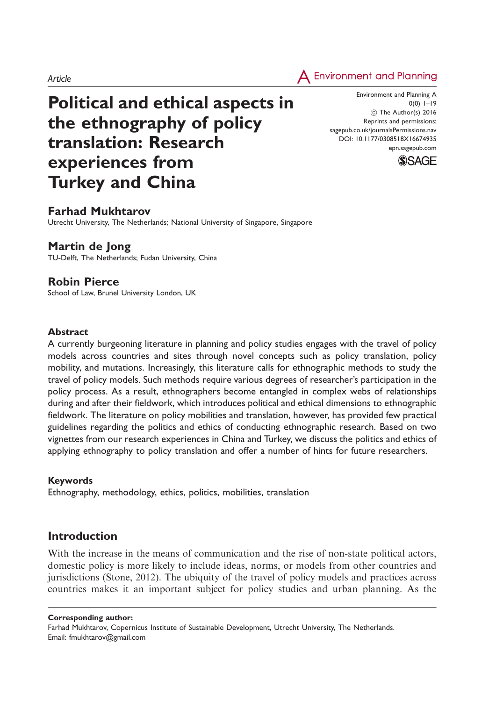Article



# Political and ethical aspects in the ethnography of policy translation: Research experiences from Turkey and China

Environment and Planning A  $0(0)$  1–19 (C) The Author(s) 2016 Reprints and permissions: sagepub.co.uk/journalsPermissions.nav DOI: 10.1177/0308518X16674935 epn.sagepub.com



## Farhad Mukhtarov

Utrecht University, The Netherlands; National University of Singapore, Singapore

## Martin de Jong

TU-Delft, The Netherlands; Fudan University, China

## Robin Pierce

School of Law, Brunel University London, UK

### Abstract

A currently burgeoning literature in planning and policy studies engages with the travel of policy models across countries and sites through novel concepts such as policy translation, policy mobility, and mutations. Increasingly, this literature calls for ethnographic methods to study the travel of policy models. Such methods require various degrees of researcher's participation in the policy process. As a result, ethnographers become entangled in complex webs of relationships during and after their fieldwork, which introduces political and ethical dimensions to ethnographic fieldwork. The literature on policy mobilities and translation, however, has provided few practical guidelines regarding the politics and ethics of conducting ethnographic research. Based on two vignettes from our research experiences in China and Turkey, we discuss the politics and ethics of applying ethnography to policy translation and offer a number of hints for future researchers.

### Keywords

Ethnography, methodology, ethics, politics, mobilities, translation

# Introduction

With the increase in the means of communication and the rise of non-state political actors, domestic policy is more likely to include ideas, norms, or models from other countries and jurisdictions (Stone, 2012). The ubiquity of the travel of policy models and practices across countries makes it an important subject for policy studies and urban planning. As the

#### Corresponding author:

Farhad Mukhtarov, Copernicus Institute of Sustainable Development, Utrecht University, The Netherlands. Email: fmukhtarov@gmail.com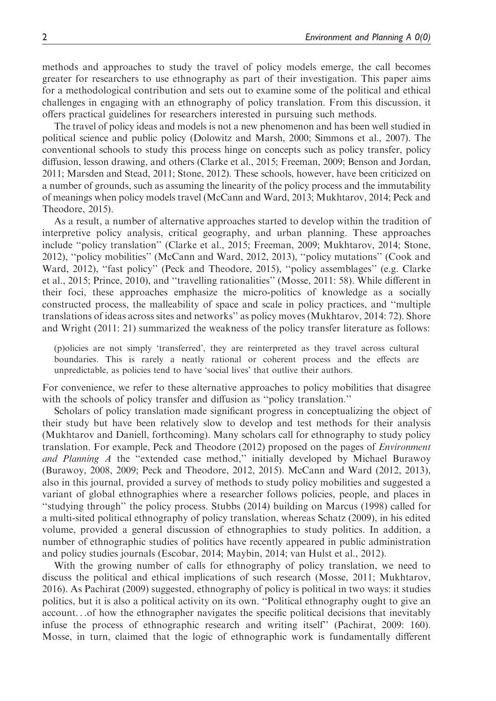methods and approaches to study the travel of policy models emerge, the call becomes greater for researchers to use ethnography as part of their investigation. This paper aims for a methodological contribution and sets out to examine some of the political and ethical challenges in engaging with an ethnography of policy translation. From this discussion, it offers practical guidelines for researchers interested in pursuing such methods.

The travel of policy ideas and models is not a new phenomenon and has been well studied in political science and public policy (Dolowitz and Marsh, 2000; Simmons et al., 2007). The conventional schools to study this process hinge on concepts such as policy transfer, policy diffusion, lesson drawing, and others (Clarke et al., 2015; Freeman, 2009; Benson and Jordan, 2011; Marsden and Stead, 2011; Stone, 2012). These schools, however, have been criticized on a number of grounds, such as assuming the linearity of the policy process and the immutability of meanings when policy models travel (McCann and Ward, 2013; Mukhtarov, 2014; Peck and Theodore, 2015).

As a result, a number of alternative approaches started to develop within the tradition of interpretive policy analysis, critical geography, and urban planning. These approaches include ''policy translation'' (Clarke et al., 2015; Freeman, 2009; Mukhtarov, 2014; Stone, 2012), ''policy mobilities'' (McCann and Ward, 2012, 2013), ''policy mutations'' (Cook and Ward, 2012), "fast policy" (Peck and Theodore, 2015), "policy assemblages" (e.g. Clarke et al., 2015; Prince, 2010), and ''travelling rationalities'' (Mosse, 2011: 58). While different in their foci, these approaches emphasize the micro-politics of knowledge as a socially constructed process, the malleability of space and scale in policy practices, and ''multiple translations of ideas across sites and networks'' as policy moves (Mukhtarov, 2014: 72). Shore and Wright (2011: 21) summarized the weakness of the policy transfer literature as follows:

(p)olicies are not simply 'transferred', they are reinterpreted as they travel across cultural boundaries. This is rarely a neatly rational or coherent process and the effects are unpredictable, as policies tend to have 'social lives' that outlive their authors.

For convenience, we refer to these alternative approaches to policy mobilities that disagree with the schools of policy transfer and diffusion as "policy translation."

Scholars of policy translation made significant progress in conceptualizing the object of their study but have been relatively slow to develop and test methods for their analysis (Mukhtarov and Daniell, forthcoming). Many scholars call for ethnography to study policy translation. For example, Peck and Theodore (2012) proposed on the pages of Environment and Planning A the "extended case method," initially developed by Michael Burawoy (Burawoy, 2008, 2009; Peck and Theodore, 2012, 2015). McCann and Ward (2012, 2013), also in this journal, provided a survey of methods to study policy mobilities and suggested a variant of global ethnographies where a researcher follows policies, people, and places in ''studying through'' the policy process. Stubbs (2014) building on Marcus (1998) called for a multi-sited political ethnography of policy translation, whereas Schatz (2009), in his edited volume, provided a general discussion of ethnographies to study politics. In addition, a number of ethnographic studies of politics have recently appeared in public administration and policy studies journals (Escobar, 2014; Maybin, 2014; van Hulst et al., 2012).

With the growing number of calls for ethnography of policy translation, we need to discuss the political and ethical implications of such research (Mosse, 2011; Mukhtarov, 2016). As Pachirat (2009) suggested, ethnography of policy is political in two ways: it studies politics, but it is also a political activity on its own. ''Political ethnography ought to give an account...of how the ethnographer navigates the specific political decisions that inevitably infuse the process of ethnographic research and writing itself'' (Pachirat, 2009: 160). Mosse, in turn, claimed that the logic of ethnographic work is fundamentally different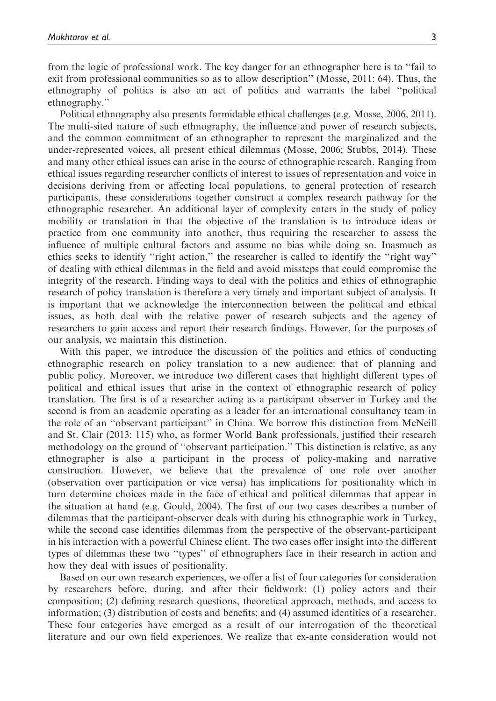from the logic of professional work. The key danger for an ethnographer here is to ''fail to exit from professional communities so as to allow description'' (Mosse, 2011: 64). Thus, the ethnography of politics is also an act of politics and warrants the label ''political ethnography.''

Political ethnography also presents formidable ethical challenges (e.g. Mosse, 2006, 2011). The multi-sited nature of such ethnography, the influence and power of research subjects, and the common commitment of an ethnographer to represent the marginalized and the under-represented voices, all present ethical dilemmas (Mosse, 2006; Stubbs, 2014). These and many other ethical issues can arise in the course of ethnographic research. Ranging from ethical issues regarding researcher conflicts of interest to issues of representation and voice in decisions deriving from or affecting local populations, to general protection of research participants, these considerations together construct a complex research pathway for the ethnographic researcher. An additional layer of complexity enters in the study of policy mobility or translation in that the objective of the translation is to introduce ideas or practice from one community into another, thus requiring the researcher to assess the influence of multiple cultural factors and assume no bias while doing so. Inasmuch as ethics seeks to identify ''right action,'' the researcher is called to identify the ''right way'' of dealing with ethical dilemmas in the field and avoid missteps that could compromise the integrity of the research. Finding ways to deal with the politics and ethics of ethnographic research of policy translation is therefore a very timely and important subject of analysis. It is important that we acknowledge the interconnection between the political and ethical issues, as both deal with the relative power of research subjects and the agency of researchers to gain access and report their research findings. However, for the purposes of our analysis, we maintain this distinction.

With this paper, we introduce the discussion of the politics and ethics of conducting ethnographic research on policy translation to a new audience: that of planning and public policy. Moreover, we introduce two different cases that highlight different types of political and ethical issues that arise in the context of ethnographic research of policy translation. The first is of a researcher acting as a participant observer in Turkey and the second is from an academic operating as a leader for an international consultancy team in the role of an ''observant participant'' in China. We borrow this distinction from McNeill and St. Clair (2013: 115) who, as former World Bank professionals, justified their research methodology on the ground of ''observant participation.'' This distinction is relative, as any ethnographer is also a participant in the process of policy-making and narrative construction. However, we believe that the prevalence of one role over another (observation over participation or vice versa) has implications for positionality which in turn determine choices made in the face of ethical and political dilemmas that appear in the situation at hand (e.g. Gould, 2004). The first of our two cases describes a number of dilemmas that the participant-observer deals with during his ethnographic work in Turkey, while the second case identifies dilemmas from the perspective of the observant-participant in his interaction with a powerful Chinese client. The two cases offer insight into the different types of dilemmas these two ''types'' of ethnographers face in their research in action and how they deal with issues of positionality.

Based on our own research experiences, we offer a list of four categories for consideration by researchers before, during, and after their fieldwork: (1) policy actors and their composition; (2) defining research questions, theoretical approach, methods, and access to information; (3) distribution of costs and benefits; and (4) assumed identities of a researcher. These four categories have emerged as a result of our interrogation of the theoretical literature and our own field experiences. We realize that ex-ante consideration would not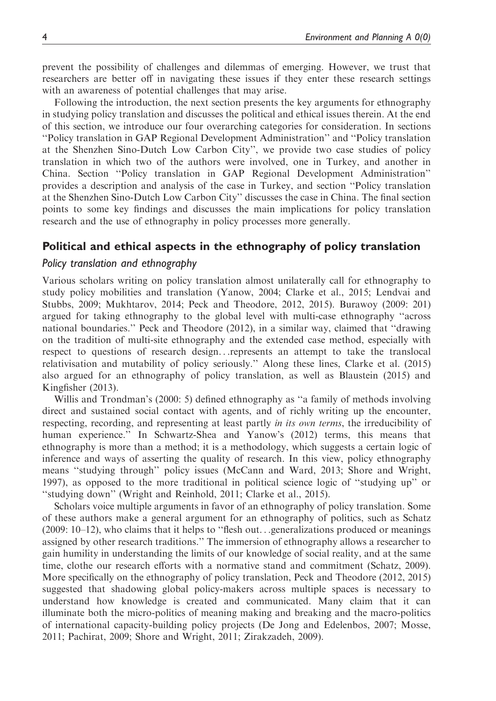prevent the possibility of challenges and dilemmas of emerging. However, we trust that researchers are better off in navigating these issues if they enter these research settings with an awareness of potential challenges that may arise.

Following the introduction, the next section presents the key arguments for ethnography in studying policy translation and discusses the political and ethical issues therein. At the end of this section, we introduce our four overarching categories for consideration. In sections ''Policy translation in GAP Regional Development Administration'' and ''Policy translation at the Shenzhen Sino-Dutch Low Carbon City'', we provide two case studies of policy translation in which two of the authors were involved, one in Turkey, and another in China. Section ''Policy translation in GAP Regional Development Administration'' provides a description and analysis of the case in Turkey, and section ''Policy translation at the Shenzhen Sino-Dutch Low Carbon City'' discusses the case in China. The final section points to some key findings and discusses the main implications for policy translation research and the use of ethnography in policy processes more generally.

## Political and ethical aspects in the ethnography of policy translation

#### Policy translation and ethnography

Various scholars writing on policy translation almost unilaterally call for ethnography to study policy mobilities and translation (Yanow, 2004; Clarke et al., 2015; Lendvai and Stubbs, 2009; Mukhtarov, 2014; Peck and Theodore, 2012, 2015). Burawoy (2009: 201) argued for taking ethnography to the global level with multi-case ethnography ''across national boundaries.'' Peck and Theodore (2012), in a similar way, claimed that ''drawing on the tradition of multi-site ethnography and the extended case method, especially with respect to questions of research design...represents an attempt to take the translocal relativisation and mutability of policy seriously.'' Along these lines, Clarke et al. (2015) also argued for an ethnography of policy translation, as well as Blaustein (2015) and Kingfisher (2013).

Willis and Trondman's (2000: 5) defined ethnography as ''a family of methods involving direct and sustained social contact with agents, and of richly writing up the encounter, respecting, recording, and representing at least partly *in its own terms*, the irreducibility of human experience.'' In Schwartz-Shea and Yanow's (2012) terms, this means that ethnography is more than a method; it is a methodology, which suggests a certain logic of inference and ways of asserting the quality of research. In this view, policy ethnography means ''studying through'' policy issues (McCann and Ward, 2013; Shore and Wright, 1997), as opposed to the more traditional in political science logic of ''studying up'' or "studying down" (Wright and Reinhold, 2011; Clarke et al., 2015).

Scholars voice multiple arguments in favor of an ethnography of policy translation. Some of these authors make a general argument for an ethnography of politics, such as Schatz (2009: 10–12), who claims that it helps to ''flesh out...generalizations produced or meanings assigned by other research traditions.'' The immersion of ethnography allows a researcher to gain humility in understanding the limits of our knowledge of social reality, and at the same time, clothe our research efforts with a normative stand and commitment (Schatz, 2009). More specifically on the ethnography of policy translation, Peck and Theodore (2012, 2015) suggested that shadowing global policy-makers across multiple spaces is necessary to understand how knowledge is created and communicated. Many claim that it can illuminate both the micro-politics of meaning making and breaking and the macro-politics of international capacity-building policy projects (De Jong and Edelenbos, 2007; Mosse, 2011; Pachirat, 2009; Shore and Wright, 2011; Zirakzadeh, 2009).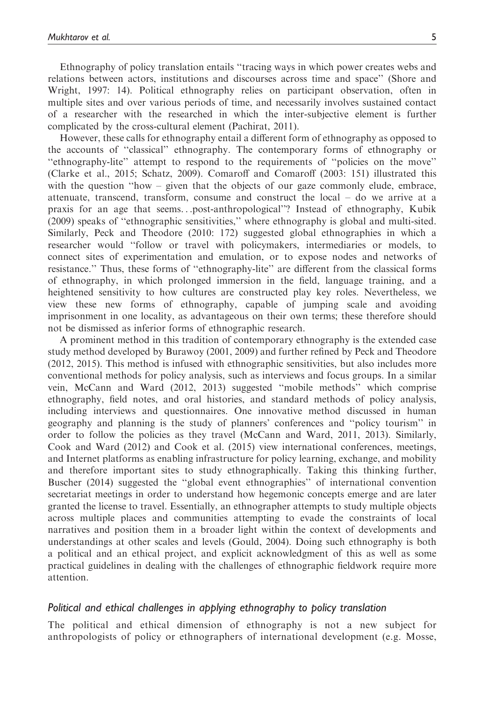Ethnography of policy translation entails ''tracing ways in which power creates webs and relations between actors, institutions and discourses across time and space'' (Shore and Wright, 1997: 14). Political ethnography relies on participant observation, often in multiple sites and over various periods of time, and necessarily involves sustained contact of a researcher with the researched in which the inter-subjective element is further complicated by the cross-cultural element (Pachirat, 2011).

However, these calls for ethnography entail a different form of ethnography as opposed to the accounts of ''classical'' ethnography. The contemporary forms of ethnography or ''ethnography-lite'' attempt to respond to the requirements of ''policies on the move'' (Clarke et al., 2015; Schatz, 2009). Comaroff and Comaroff (2003: 151) illustrated this with the question "how – given that the objects of our gaze commonly elude, embrace, attenuate, transcend, transform, consume and construct the local – do we arrive at a praxis for an age that seems...post-anthropological''? Instead of ethnography, Kubik (2009) speaks of ''ethnographic sensitivities,'' where ethnography is global and multi-sited. Similarly, Peck and Theodore (2010: 172) suggested global ethnographies in which a researcher would ''follow or travel with policymakers, intermediaries or models, to connect sites of experimentation and emulation, or to expose nodes and networks of resistance.'' Thus, these forms of ''ethnography-lite'' are different from the classical forms of ethnography, in which prolonged immersion in the field, language training, and a heightened sensitivity to how cultures are constructed play key roles. Nevertheless, we view these new forms of ethnography, capable of jumping scale and avoiding imprisonment in one locality, as advantageous on their own terms; these therefore should not be dismissed as inferior forms of ethnographic research.

A prominent method in this tradition of contemporary ethnography is the extended case study method developed by Burawoy (2001, 2009) and further refined by Peck and Theodore (2012, 2015). This method is infused with ethnographic sensitivities, but also includes more conventional methods for policy analysis, such as interviews and focus groups. In a similar vein, McCann and Ward (2012, 2013) suggested ''mobile methods'' which comprise ethnography, field notes, and oral histories, and standard methods of policy analysis, including interviews and questionnaires. One innovative method discussed in human geography and planning is the study of planners' conferences and ''policy tourism'' in order to follow the policies as they travel (McCann and Ward, 2011, 2013). Similarly, Cook and Ward (2012) and Cook et al. (2015) view international conferences, meetings, and Internet platforms as enabling infrastructure for policy learning, exchange, and mobility and therefore important sites to study ethnographically. Taking this thinking further, Buscher (2014) suggested the ''global event ethnographies'' of international convention secretariat meetings in order to understand how hegemonic concepts emerge and are later granted the license to travel. Essentially, an ethnographer attempts to study multiple objects across multiple places and communities attempting to evade the constraints of local narratives and position them in a broader light within the context of developments and understandings at other scales and levels (Gould, 2004). Doing such ethnography is both a political and an ethical project, and explicit acknowledgment of this as well as some practical guidelines in dealing with the challenges of ethnographic fieldwork require more attention.

### Political and ethical challenges in applying ethnography to policy translation

The political and ethical dimension of ethnography is not a new subject for anthropologists of policy or ethnographers of international development (e.g. Mosse,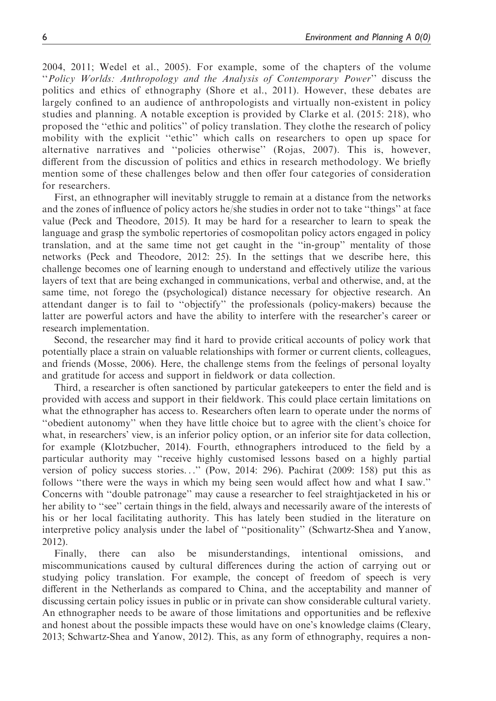2004, 2011; Wedel et al., 2005). For example, some of the chapters of the volume ''Policy Worlds: Anthropology and the Analysis of Contemporary Power'' discuss the politics and ethics of ethnography (Shore et al., 2011). However, these debates are largely confined to an audience of anthropologists and virtually non-existent in policy studies and planning. A notable exception is provided by Clarke et al. (2015: 218), who proposed the ''ethic and politics'' of policy translation. They clothe the research of policy mobility with the explicit ''ethic'' which calls on researchers to open up space for alternative narratives and ''policies otherwise'' (Rojas, 2007). This is, however, different from the discussion of politics and ethics in research methodology. We briefly mention some of these challenges below and then offer four categories of consideration for researchers.

First, an ethnographer will inevitably struggle to remain at a distance from the networks and the zones of influence of policy actors he/she studies in order not to take ''things'' at face value (Peck and Theodore, 2015). It may be hard for a researcher to learn to speak the language and grasp the symbolic repertories of cosmopolitan policy actors engaged in policy translation, and at the same time not get caught in the ''in-group'' mentality of those networks (Peck and Theodore, 2012: 25). In the settings that we describe here, this challenge becomes one of learning enough to understand and effectively utilize the various layers of text that are being exchanged in communications, verbal and otherwise, and, at the same time, not forego the (psychological) distance necessary for objective research. An attendant danger is to fail to ''objectify'' the professionals (policy-makers) because the latter are powerful actors and have the ability to interfere with the researcher's career or research implementation.

Second, the researcher may find it hard to provide critical accounts of policy work that potentially place a strain on valuable relationships with former or current clients, colleagues, and friends (Mosse, 2006). Here, the challenge stems from the feelings of personal loyalty and gratitude for access and support in fieldwork or data collection.

Third, a researcher is often sanctioned by particular gatekeepers to enter the field and is provided with access and support in their fieldwork. This could place certain limitations on what the ethnographer has access to. Researchers often learn to operate under the norms of ''obedient autonomy'' when they have little choice but to agree with the client's choice for what, in researchers' view, is an inferior policy option, or an inferior site for data collection, for example (Klotzbucher, 2014). Fourth, ethnographers introduced to the field by a particular authority may ''receive highly customised lessons based on a highly partial version of policy success stories...'' (Pow, 2014: 296). Pachirat (2009: 158) put this as follows ''there were the ways in which my being seen would affect how and what I saw.'' Concerns with ''double patronage'' may cause a researcher to feel straightjacketed in his or her ability to "see" certain things in the field, always and necessarily aware of the interests of his or her local facilitating authority. This has lately been studied in the literature on interpretive policy analysis under the label of ''positionality'' (Schwartz-Shea and Yanow, 2012).

Finally, there can also be misunderstandings, intentional omissions, and miscommunications caused by cultural differences during the action of carrying out or studying policy translation. For example, the concept of freedom of speech is very different in the Netherlands as compared to China, and the acceptability and manner of discussing certain policy issues in public or in private can show considerable cultural variety. An ethnographer needs to be aware of those limitations and opportunities and be reflexive and honest about the possible impacts these would have on one's knowledge claims (Cleary, 2013; Schwartz-Shea and Yanow, 2012). This, as any form of ethnography, requires a non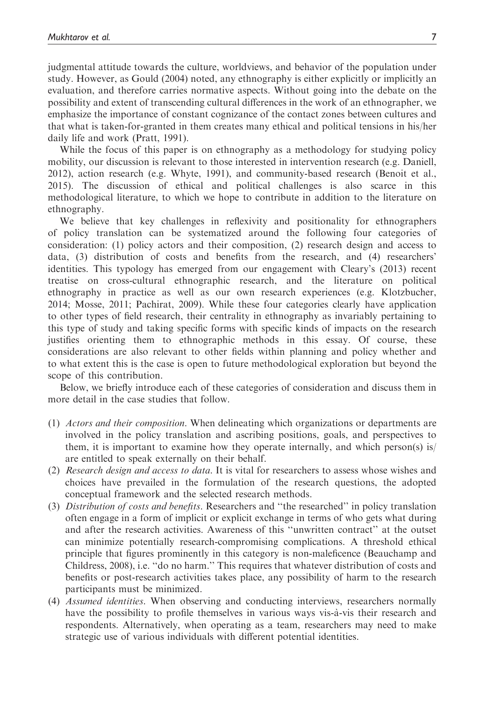judgmental attitude towards the culture, worldviews, and behavior of the population under study. However, as Gould (2004) noted, any ethnography is either explicitly or implicitly an evaluation, and therefore carries normative aspects. Without going into the debate on the possibility and extent of transcending cultural differences in the work of an ethnographer, we emphasize the importance of constant cognizance of the contact zones between cultures and that what is taken-for-granted in them creates many ethical and political tensions in his/her daily life and work (Pratt, 1991).

While the focus of this paper is on ethnography as a methodology for studying policy mobility, our discussion is relevant to those interested in intervention research (e.g. Daniell, 2012), action research (e.g. Whyte, 1991), and community-based research (Benoit et al., 2015). The discussion of ethical and political challenges is also scarce in this methodological literature, to which we hope to contribute in addition to the literature on ethnography.

We believe that key challenges in reflexivity and positionality for ethnographers of policy translation can be systematized around the following four categories of consideration: (1) policy actors and their composition, (2) research design and access to data, (3) distribution of costs and benefits from the research, and (4) researchers' identities. This typology has emerged from our engagement with Cleary's (2013) recent treatise on cross-cultural ethnographic research, and the literature on political ethnography in practice as well as our own research experiences (e.g. Klotzbucher, 2014; Mosse, 2011; Pachirat, 2009). While these four categories clearly have application to other types of field research, their centrality in ethnography as invariably pertaining to this type of study and taking specific forms with specific kinds of impacts on the research justifies orienting them to ethnographic methods in this essay. Of course, these considerations are also relevant to other fields within planning and policy whether and to what extent this is the case is open to future methodological exploration but beyond the scope of this contribution.

Below, we briefly introduce each of these categories of consideration and discuss them in more detail in the case studies that follow.

- (1) Actors and their composition. When delineating which organizations or departments are involved in the policy translation and ascribing positions, goals, and perspectives to them, it is important to examine how they operate internally, and which person(s) is/ are entitled to speak externally on their behalf.
- (2) Research design and access to data. It is vital for researchers to assess whose wishes and choices have prevailed in the formulation of the research questions, the adopted conceptual framework and the selected research methods.
- (3) Distribution of costs and benefits. Researchers and ''the researched'' in policy translation often engage in a form of implicit or explicit exchange in terms of who gets what during and after the research activities. Awareness of this ''unwritten contract'' at the outset can minimize potentially research-compromising complications. A threshold ethical principle that figures prominently in this category is non-maleficence (Beauchamp and Childress, 2008), i.e. ''do no harm.'' This requires that whatever distribution of costs and benefits or post-research activities takes place, any possibility of harm to the research participants must be minimized.
- (4) Assumed identities. When observing and conducting interviews, researchers normally have the possibility to profile themselves in various ways vis-à-vis their research and respondents. Alternatively, when operating as a team, researchers may need to make strategic use of various individuals with different potential identities.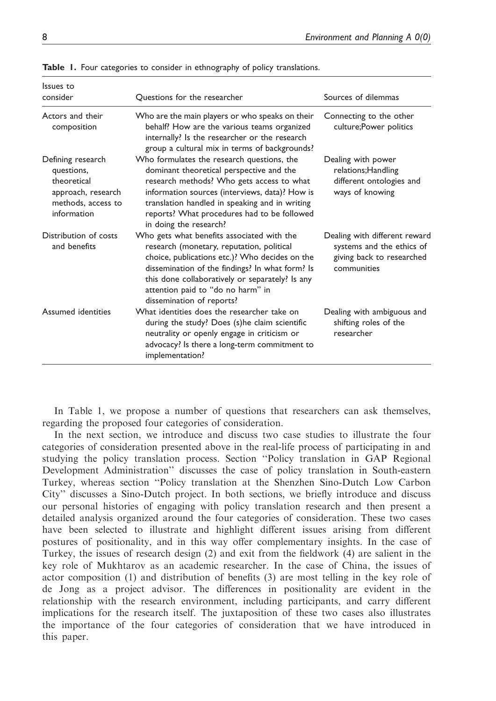| Issues to<br>consider                                                                                     | Questions for the researcher                                                                                                                                                                                                                                                                                      | Sources of dilemmas                                                                                    |
|-----------------------------------------------------------------------------------------------------------|-------------------------------------------------------------------------------------------------------------------------------------------------------------------------------------------------------------------------------------------------------------------------------------------------------------------|--------------------------------------------------------------------------------------------------------|
| Actors and their<br>composition                                                                           | Who are the main players or who speaks on their<br>behalf? How are the various teams organized<br>internally? Is the researcher or the research<br>group a cultural mix in terms of backgrounds?                                                                                                                  | Connecting to the other<br>culture; Power politics                                                     |
| Defining research<br>questions,<br>theoretical<br>approach, research<br>methods, access to<br>information | Who formulates the research questions, the<br>dominant theoretical perspective and the<br>research methods? Who gets access to what<br>information sources (interviews, data)? How is<br>translation handled in speaking and in writing<br>reports? What procedures had to be followed<br>in doing the research?  | Dealing with power<br>relations; Handling<br>different ontologies and<br>ways of knowing               |
| Distribution of costs<br>and benefits                                                                     | Who gets what benefits associated with the<br>research (monetary, reputation, political<br>choice, publications etc.)? Who decides on the<br>dissemination of the findings? In what form? Is<br>this done collaboratively or separately? Is any<br>attention paid to "do no harm" in<br>dissemination of reports? | Dealing with different reward<br>systems and the ethics of<br>giving back to researched<br>communities |
| Assumed identities                                                                                        | What identities does the researcher take on<br>during the study? Does (s)he claim scientific<br>neutrality or openly engage in criticism or<br>advocacy? Is there a long-term commitment to<br>implementation?                                                                                                    | Dealing with ambiguous and<br>shifting roles of the<br>researcher                                      |

Table 1. Four categories to consider in ethnography of policy translations.

In Table 1, we propose a number of questions that researchers can ask themselves, regarding the proposed four categories of consideration.

In the next section, we introduce and discuss two case studies to illustrate the four categories of consideration presented above in the real-life process of participating in and studying the policy translation process. Section ''Policy translation in GAP Regional Development Administration'' discusses the case of policy translation in South-eastern Turkey, whereas section ''Policy translation at the Shenzhen Sino-Dutch Low Carbon City'' discusses a Sino-Dutch project. In both sections, we briefly introduce and discuss our personal histories of engaging with policy translation research and then present a detailed analysis organized around the four categories of consideration. These two cases have been selected to illustrate and highlight different issues arising from different postures of positionality, and in this way offer complementary insights. In the case of Turkey, the issues of research design (2) and exit from the fieldwork (4) are salient in the key role of Mukhtarov as an academic researcher. In the case of China, the issues of actor composition (1) and distribution of benefits (3) are most telling in the key role of de Jong as a project advisor. The differences in positionality are evident in the relationship with the research environment, including participants, and carry different implications for the research itself. The juxtaposition of these two cases also illustrates the importance of the four categories of consideration that we have introduced in this paper.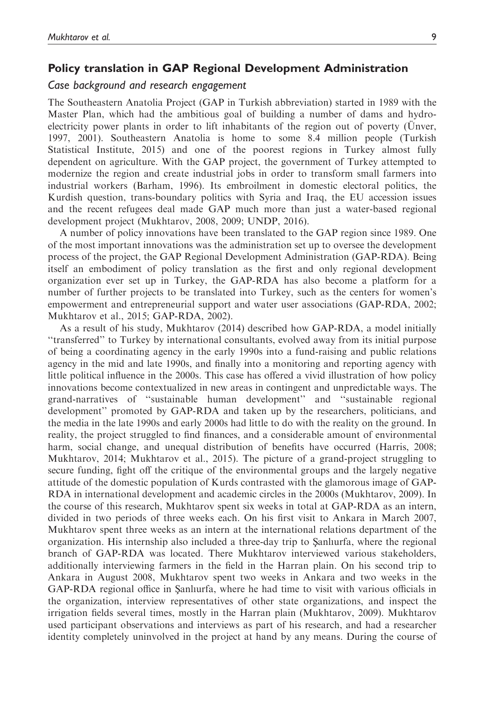#### Policy translation in GAP Regional Development Administration

### Case background and research engagement

The Southeastern Anatolia Project (GAP in Turkish abbreviation) started in 1989 with the Master Plan, which had the ambitious goal of building a number of dams and hydroelectricity power plants in order to lift inhabitants of the region out of poverty (Unver, 1997, 2001). Southeastern Anatolia is home to some 8.4 million people (Turkish Statistical Institute, 2015) and one of the poorest regions in Turkey almost fully dependent on agriculture. With the GAP project, the government of Turkey attempted to modernize the region and create industrial jobs in order to transform small farmers into industrial workers (Barham, 1996). Its embroilment in domestic electoral politics, the Kurdish question, trans-boundary politics with Syria and Iraq, the EU accession issues and the recent refugees deal made GAP much more than just a water-based regional development project (Mukhtarov, 2008, 2009; UNDP, 2016).

A number of policy innovations have been translated to the GAP region since 1989. One of the most important innovations was the administration set up to oversee the development process of the project, the GAP Regional Development Administration (GAP-RDA). Being itself an embodiment of policy translation as the first and only regional development organization ever set up in Turkey, the GAP-RDA has also become a platform for a number of further projects to be translated into Turkey, such as the centers for women's empowerment and entrepreneurial support and water user associations (GAP-RDA, 2002; Mukhtarov et al., 2015; GAP-RDA, 2002).

As a result of his study, Mukhtarov (2014) described how GAP-RDA, a model initially ''transferred'' to Turkey by international consultants, evolved away from its initial purpose of being a coordinating agency in the early 1990s into a fund-raising and public relations agency in the mid and late 1990s, and finally into a monitoring and reporting agency with little political influence in the 2000s. This case has offered a vivid illustration of how policy innovations become contextualized in new areas in contingent and unpredictable ways. The grand-narratives of ''sustainable human development'' and ''sustainable regional development'' promoted by GAP-RDA and taken up by the researchers, politicians, and the media in the late 1990s and early 2000s had little to do with the reality on the ground. In reality, the project struggled to find finances, and a considerable amount of environmental harm, social change, and unequal distribution of benefits have occurred (Harris, 2008; Mukhtarov, 2014; Mukhtarov et al., 2015). The picture of a grand-project struggling to secure funding, fight off the critique of the environmental groups and the largely negative attitude of the domestic population of Kurds contrasted with the glamorous image of GAP-RDA in international development and academic circles in the 2000s (Mukhtarov, 2009). In the course of this research, Mukhtarov spent six weeks in total at GAP-RDA as an intern, divided in two periods of three weeks each. On his first visit to Ankara in March 2007, Mukhtarov spent three weeks as an intern at the international relations department of the organization. His internship also included a three-day trip to Sanlurfa, where the regional branch of GAP-RDA was located. There Mukhtarov interviewed various stakeholders, additionally interviewing farmers in the field in the Harran plain. On his second trip to Ankara in August 2008, Mukhtarov spent two weeks in Ankara and two weeks in the GAP-RDA regional office in Sanlıurfa, where he had time to visit with various officials in the organization, interview representatives of other state organizations, and inspect the irrigation fields several times, mostly in the Harran plain (Mukhtarov, 2009). Mukhtarov used participant observations and interviews as part of his research, and had a researcher identity completely uninvolved in the project at hand by any means. During the course of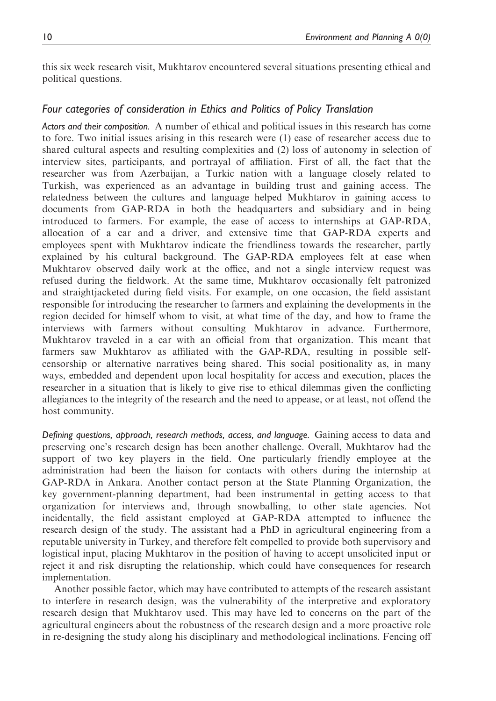this six week research visit, Mukhtarov encountered several situations presenting ethical and political questions.

## Four categories of consideration in Ethics and Politics of Policy Translation

Actors and their composition. A number of ethical and political issues in this research has come to fore. Two initial issues arising in this research were (1) ease of researcher access due to shared cultural aspects and resulting complexities and (2) loss of autonomy in selection of interview sites, participants, and portrayal of affiliation. First of all, the fact that the researcher was from Azerbaijan, a Turkic nation with a language closely related to Turkish, was experienced as an advantage in building trust and gaining access. The relatedness between the cultures and language helped Mukhtarov in gaining access to documents from GAP-RDA in both the headquarters and subsidiary and in being introduced to farmers. For example, the ease of access to internships at GAP-RDA, allocation of a car and a driver, and extensive time that GAP-RDA experts and employees spent with Mukhtarov indicate the friendliness towards the researcher, partly explained by his cultural background. The GAP-RDA employees felt at ease when Mukhtarov observed daily work at the office, and not a single interview request was refused during the fieldwork. At the same time, Mukhtarov occasionally felt patronized and straightjacketed during field visits. For example, on one occasion, the field assistant responsible for introducing the researcher to farmers and explaining the developments in the region decided for himself whom to visit, at what time of the day, and how to frame the interviews with farmers without consulting Mukhtarov in advance. Furthermore, Mukhtarov traveled in a car with an official from that organization. This meant that farmers saw Mukhtarov as affiliated with the GAP-RDA, resulting in possible selfcensorship or alternative narratives being shared. This social positionality as, in many ways, embedded and dependent upon local hospitality for access and execution, places the researcher in a situation that is likely to give rise to ethical dilemmas given the conflicting allegiances to the integrity of the research and the need to appease, or at least, not offend the host community.

Defining questions, approach, research methods, access, and language. Gaining access to data and preserving one's research design has been another challenge. Overall, Mukhtarov had the support of two key players in the field. One particularly friendly employee at the administration had been the liaison for contacts with others during the internship at GAP-RDA in Ankara. Another contact person at the State Planning Organization, the key government-planning department, had been instrumental in getting access to that organization for interviews and, through snowballing, to other state agencies. Not incidentally, the field assistant employed at GAP-RDA attempted to influence the research design of the study. The assistant had a PhD in agricultural engineering from a reputable university in Turkey, and therefore felt compelled to provide both supervisory and logistical input, placing Mukhtarov in the position of having to accept unsolicited input or reject it and risk disrupting the relationship, which could have consequences for research implementation.

Another possible factor, which may have contributed to attempts of the research assistant to interfere in research design, was the vulnerability of the interpretive and exploratory research design that Mukhtarov used. This may have led to concerns on the part of the agricultural engineers about the robustness of the research design and a more proactive role in re-designing the study along his disciplinary and methodological inclinations. Fencing off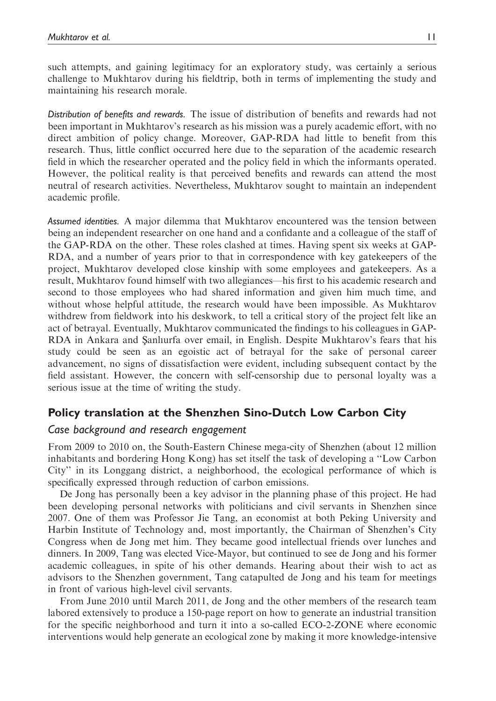such attempts, and gaining legitimacy for an exploratory study, was certainly a serious challenge to Mukhtarov during his fieldtrip, both in terms of implementing the study and maintaining his research morale.

Distribution of benefits and rewards. The issue of distribution of benefits and rewards had not been important in Mukhtarov's research as his mission was a purely academic effort, with no direct ambition of policy change. Moreover, GAP-RDA had little to benefit from this research. Thus, little conflict occurred here due to the separation of the academic research field in which the researcher operated and the policy field in which the informants operated. However, the political reality is that perceived benefits and rewards can attend the most neutral of research activities. Nevertheless, Mukhtarov sought to maintain an independent academic profile.

Assumed identities. A major dilemma that Mukhtarov encountered was the tension between being an independent researcher on one hand and a confidante and a colleague of the staff of the GAP-RDA on the other. These roles clashed at times. Having spent six weeks at GAP-RDA, and a number of years prior to that in correspondence with key gatekeepers of the project, Mukhtarov developed close kinship with some employees and gatekeepers. As a result, Mukhtarov found himself with two allegiances—his first to his academic research and second to those employees who had shared information and given him much time, and without whose helpful attitude, the research would have been impossible. As Mukhtarov withdrew from fieldwork into his deskwork, to tell a critical story of the project felt like an act of betrayal. Eventually, Mukhtarov communicated the findings to his colleagues in GAP-RDA in Ankara and Sanlıurfa over email, in English. Despite Mukhtarov's fears that his study could be seen as an egoistic act of betrayal for the sake of personal career advancement, no signs of dissatisfaction were evident, including subsequent contact by the field assistant. However, the concern with self-censorship due to personal loyalty was a serious issue at the time of writing the study.

# Policy translation at the Shenzhen Sino-Dutch Low Carbon City

### Case background and research engagement

From 2009 to 2010 on, the South-Eastern Chinese mega-city of Shenzhen (about 12 million inhabitants and bordering Hong Kong) has set itself the task of developing a ''Low Carbon City'' in its Longgang district, a neighborhood, the ecological performance of which is specifically expressed through reduction of carbon emissions.

De Jong has personally been a key advisor in the planning phase of this project. He had been developing personal networks with politicians and civil servants in Shenzhen since 2007. One of them was Professor Jie Tang, an economist at both Peking University and Harbin Institute of Technology and, most importantly, the Chairman of Shenzhen's City Congress when de Jong met him. They became good intellectual friends over lunches and dinners. In 2009, Tang was elected Vice-Mayor, but continued to see de Jong and his former academic colleagues, in spite of his other demands. Hearing about their wish to act as advisors to the Shenzhen government, Tang catapulted de Jong and his team for meetings in front of various high-level civil servants.

From June 2010 until March 2011, de Jong and the other members of the research team labored extensively to produce a 150-page report on how to generate an industrial transition for the specific neighborhood and turn it into a so-called ECO-2-ZONE where economic interventions would help generate an ecological zone by making it more knowledge-intensive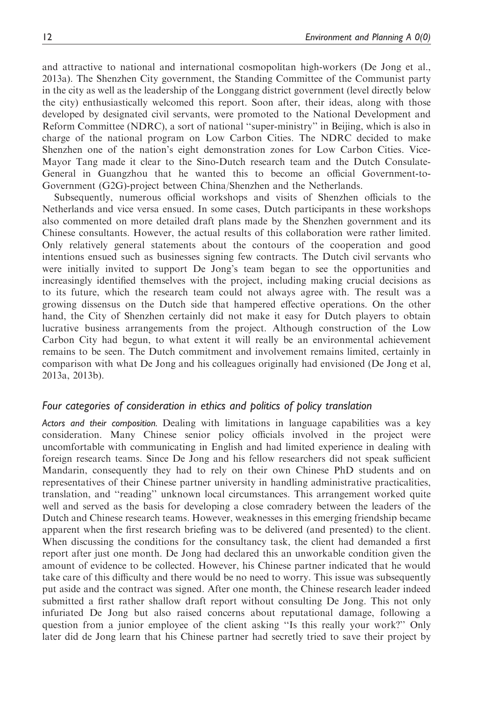and attractive to national and international cosmopolitan high-workers (De Jong et al., 2013a). The Shenzhen City government, the Standing Committee of the Communist party in the city as well as the leadership of the Longgang district government (level directly below the city) enthusiastically welcomed this report. Soon after, their ideas, along with those developed by designated civil servants, were promoted to the National Development and Reform Committee (NDRC), a sort of national ''super-ministry'' in Beijing, which is also in charge of the national program on Low Carbon Cities. The NDRC decided to make Shenzhen one of the nation's eight demonstration zones for Low Carbon Cities. Vice-Mayor Tang made it clear to the Sino-Dutch research team and the Dutch Consulate-General in Guangzhou that he wanted this to become an official Government-to-Government (G2G)-project between China/Shenzhen and the Netherlands.

Subsequently, numerous official workshops and visits of Shenzhen officials to the Netherlands and vice versa ensued. In some cases, Dutch participants in these workshops also commented on more detailed draft plans made by the Shenzhen government and its Chinese consultants. However, the actual results of this collaboration were rather limited. Only relatively general statements about the contours of the cooperation and good intentions ensued such as businesses signing few contracts. The Dutch civil servants who were initially invited to support De Jong's team began to see the opportunities and increasingly identified themselves with the project, including making crucial decisions as to its future, which the research team could not always agree with. The result was a growing dissensus on the Dutch side that hampered effective operations. On the other hand, the City of Shenzhen certainly did not make it easy for Dutch players to obtain lucrative business arrangements from the project. Although construction of the Low Carbon City had begun, to what extent it will really be an environmental achievement remains to be seen. The Dutch commitment and involvement remains limited, certainly in comparison with what De Jong and his colleagues originally had envisioned (De Jong et al, 2013a, 2013b).

### Four categories of consideration in ethics and politics of policy translation

Actors and their composition. Dealing with limitations in language capabilities was a key consideration. Many Chinese senior policy officials involved in the project were uncomfortable with communicating in English and had limited experience in dealing with foreign research teams. Since De Jong and his fellow researchers did not speak sufficient Mandarin, consequently they had to rely on their own Chinese PhD students and on representatives of their Chinese partner university in handling administrative practicalities, translation, and ''reading'' unknown local circumstances. This arrangement worked quite well and served as the basis for developing a close comradery between the leaders of the Dutch and Chinese research teams. However, weaknesses in this emerging friendship became apparent when the first research briefing was to be delivered (and presented) to the client. When discussing the conditions for the consultancy task, the client had demanded a first report after just one month. De Jong had declared this an unworkable condition given the amount of evidence to be collected. However, his Chinese partner indicated that he would take care of this difficulty and there would be no need to worry. This issue was subsequently put aside and the contract was signed. After one month, the Chinese research leader indeed submitted a first rather shallow draft report without consulting De Jong. This not only infuriated De Jong but also raised concerns about reputational damage, following a question from a junior employee of the client asking ''Is this really your work?'' Only later did de Jong learn that his Chinese partner had secretly tried to save their project by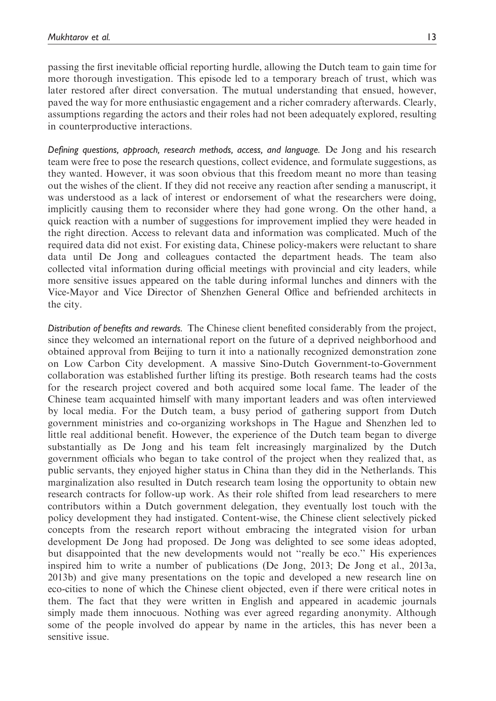passing the first inevitable official reporting hurdle, allowing the Dutch team to gain time for more thorough investigation. This episode led to a temporary breach of trust, which was later restored after direct conversation. The mutual understanding that ensued, however, paved the way for more enthusiastic engagement and a richer comradery afterwards. Clearly, assumptions regarding the actors and their roles had not been adequately explored, resulting in counterproductive interactions.

Defining questions, approach, research methods, access, and language. De Jong and his research team were free to pose the research questions, collect evidence, and formulate suggestions, as they wanted. However, it was soon obvious that this freedom meant no more than teasing out the wishes of the client. If they did not receive any reaction after sending a manuscript, it was understood as a lack of interest or endorsement of what the researchers were doing, implicitly causing them to reconsider where they had gone wrong. On the other hand, a quick reaction with a number of suggestions for improvement implied they were headed in the right direction. Access to relevant data and information was complicated. Much of the required data did not exist. For existing data, Chinese policy-makers were reluctant to share data until De Jong and colleagues contacted the department heads. The team also collected vital information during official meetings with provincial and city leaders, while more sensitive issues appeared on the table during informal lunches and dinners with the Vice-Mayor and Vice Director of Shenzhen General Office and befriended architects in the city.

Distribution of benefits and rewards. The Chinese client benefited considerably from the project, since they welcomed an international report on the future of a deprived neighborhood and obtained approval from Beijing to turn it into a nationally recognized demonstration zone on Low Carbon City development. A massive Sino-Dutch Government-to-Government collaboration was established further lifting its prestige. Both research teams had the costs for the research project covered and both acquired some local fame. The leader of the Chinese team acquainted himself with many important leaders and was often interviewed by local media. For the Dutch team, a busy period of gathering support from Dutch government ministries and co-organizing workshops in The Hague and Shenzhen led to little real additional benefit. However, the experience of the Dutch team began to diverge substantially as De Jong and his team felt increasingly marginalized by the Dutch government officials who began to take control of the project when they realized that, as public servants, they enjoyed higher status in China than they did in the Netherlands. This marginalization also resulted in Dutch research team losing the opportunity to obtain new research contracts for follow-up work. As their role shifted from lead researchers to mere contributors within a Dutch government delegation, they eventually lost touch with the policy development they had instigated. Content-wise, the Chinese client selectively picked concepts from the research report without embracing the integrated vision for urban development De Jong had proposed. De Jong was delighted to see some ideas adopted, but disappointed that the new developments would not ''really be eco.'' His experiences inspired him to write a number of publications (De Jong, 2013; De Jong et al., 2013a, 2013b) and give many presentations on the topic and developed a new research line on eco-cities to none of which the Chinese client objected, even if there were critical notes in them. The fact that they were written in English and appeared in academic journals simply made them innocuous. Nothing was ever agreed regarding anonymity. Although some of the people involved do appear by name in the articles, this has never been a sensitive issue.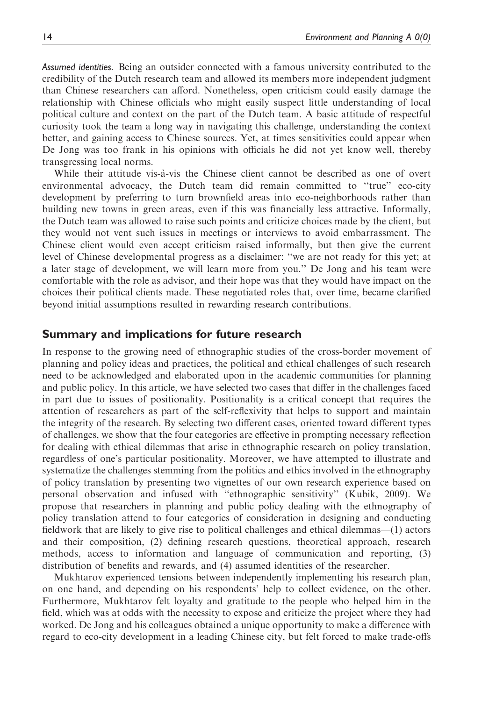Assumed identities. Being an outsider connected with a famous university contributed to the credibility of the Dutch research team and allowed its members more independent judgment than Chinese researchers can afford. Nonetheless, open criticism could easily damage the relationship with Chinese officials who might easily suspect little understanding of local political culture and context on the part of the Dutch team. A basic attitude of respectful curiosity took the team a long way in navigating this challenge, understanding the context better, and gaining access to Chinese sources. Yet, at times sensitivities could appear when De Jong was too frank in his opinions with officials he did not yet know well, thereby transgressing local norms.

While their attitude vis-à-vis the Chinese client cannot be described as one of overt environmental advocacy, the Dutch team did remain committed to ''true'' eco-city development by preferring to turn brownfield areas into eco-neighborhoods rather than building new towns in green areas, even if this was financially less attractive. Informally, the Dutch team was allowed to raise such points and criticize choices made by the client, but they would not vent such issues in meetings or interviews to avoid embarrassment. The Chinese client would even accept criticism raised informally, but then give the current level of Chinese developmental progress as a disclaimer: ''we are not ready for this yet; at a later stage of development, we will learn more from you.'' De Jong and his team were comfortable with the role as advisor, and their hope was that they would have impact on the choices their political clients made. These negotiated roles that, over time, became clarified beyond initial assumptions resulted in rewarding research contributions.

### Summary and implications for future research

In response to the growing need of ethnographic studies of the cross-border movement of planning and policy ideas and practices, the political and ethical challenges of such research need to be acknowledged and elaborated upon in the academic communities for planning and public policy. In this article, we have selected two cases that differ in the challenges faced in part due to issues of positionality. Positionality is a critical concept that requires the attention of researchers as part of the self-reflexivity that helps to support and maintain the integrity of the research. By selecting two different cases, oriented toward different types of challenges, we show that the four categories are effective in prompting necessary reflection for dealing with ethical dilemmas that arise in ethnographic research on policy translation, regardless of one's particular positionality. Moreover, we have attempted to illustrate and systematize the challenges stemming from the politics and ethics involved in the ethnography of policy translation by presenting two vignettes of our own research experience based on personal observation and infused with ''ethnographic sensitivity'' (Kubik, 2009). We propose that researchers in planning and public policy dealing with the ethnography of policy translation attend to four categories of consideration in designing and conducting fieldwork that are likely to give rise to political challenges and ethical dilemmas—(1) actors and their composition, (2) defining research questions, theoretical approach, research methods, access to information and language of communication and reporting, (3) distribution of benefits and rewards, and (4) assumed identities of the researcher.

Mukhtarov experienced tensions between independently implementing his research plan, on one hand, and depending on his respondents' help to collect evidence, on the other. Furthermore, Mukhtarov felt loyalty and gratitude to the people who helped him in the field, which was at odds with the necessity to expose and criticize the project where they had worked. De Jong and his colleagues obtained a unique opportunity to make a difference with regard to eco-city development in a leading Chinese city, but felt forced to make trade-offs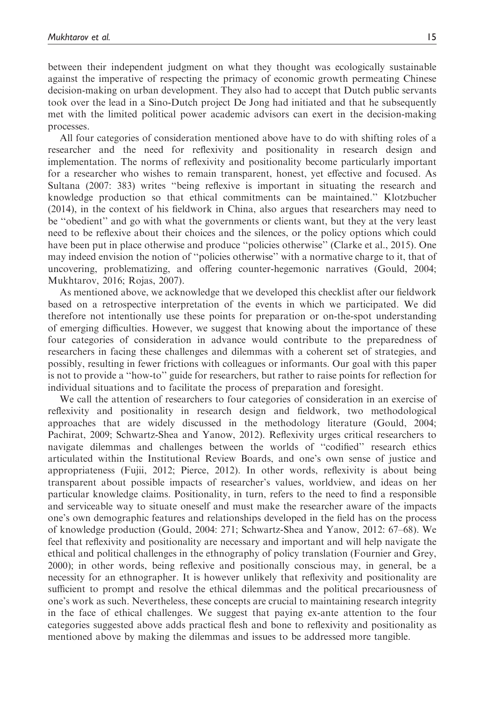between their independent judgment on what they thought was ecologically sustainable against the imperative of respecting the primacy of economic growth permeating Chinese decision-making on urban development. They also had to accept that Dutch public servants took over the lead in a Sino-Dutch project De Jong had initiated and that he subsequently met with the limited political power academic advisors can exert in the decision-making processes.

All four categories of consideration mentioned above have to do with shifting roles of a researcher and the need for reflexivity and positionality in research design and implementation. The norms of reflexivity and positionality become particularly important for a researcher who wishes to remain transparent, honest, yet effective and focused. As Sultana (2007: 383) writes ''being reflexive is important in situating the research and knowledge production so that ethical commitments can be maintained.'' Klotzbucher (2014), in the context of his fieldwork in China, also argues that researchers may need to be ''obedient'' and go with what the governments or clients want, but they at the very least need to be reflexive about their choices and the silences, or the policy options which could have been put in place otherwise and produce ''policies otherwise'' (Clarke et al., 2015). One may indeed envision the notion of ''policies otherwise'' with a normative charge to it, that of uncovering, problematizing, and offering counter-hegemonic narratives (Gould, 2004; Mukhtarov, 2016; Rojas, 2007).

As mentioned above, we acknowledge that we developed this checklist after our fieldwork based on a retrospective interpretation of the events in which we participated. We did therefore not intentionally use these points for preparation or on-the-spot understanding of emerging difficulties. However, we suggest that knowing about the importance of these four categories of consideration in advance would contribute to the preparedness of researchers in facing these challenges and dilemmas with a coherent set of strategies, and possibly, resulting in fewer frictions with colleagues or informants. Our goal with this paper is not to provide a ''how-to'' guide for researchers, but rather to raise points for reflection for individual situations and to facilitate the process of preparation and foresight.

We call the attention of researchers to four categories of consideration in an exercise of reflexivity and positionality in research design and fieldwork, two methodological approaches that are widely discussed in the methodology literature (Gould, 2004; Pachirat, 2009; Schwartz-Shea and Yanow, 2012). Reflexivity urges critical researchers to navigate dilemmas and challenges between the worlds of ''codified'' research ethics articulated within the Institutional Review Boards, and one's own sense of justice and appropriateness (Fujii, 2012; Pierce, 2012). In other words, reflexivity is about being transparent about possible impacts of researcher's values, worldview, and ideas on her particular knowledge claims. Positionality, in turn, refers to the need to find a responsible and serviceable way to situate oneself and must make the researcher aware of the impacts one's own demographic features and relationships developed in the field has on the process of knowledge production (Gould, 2004: 271; Schwartz-Shea and Yanow, 2012: 67–68). We feel that reflexivity and positionality are necessary and important and will help navigate the ethical and political challenges in the ethnography of policy translation (Fournier and Grey, 2000); in other words, being reflexive and positionally conscious may, in general, be a necessity for an ethnographer. It is however unlikely that reflexivity and positionality are sufficient to prompt and resolve the ethical dilemmas and the political precariousness of one's work as such. Nevertheless, these concepts are crucial to maintaining research integrity in the face of ethical challenges. We suggest that paying ex-ante attention to the four categories suggested above adds practical flesh and bone to reflexivity and positionality as mentioned above by making the dilemmas and issues to be addressed more tangible.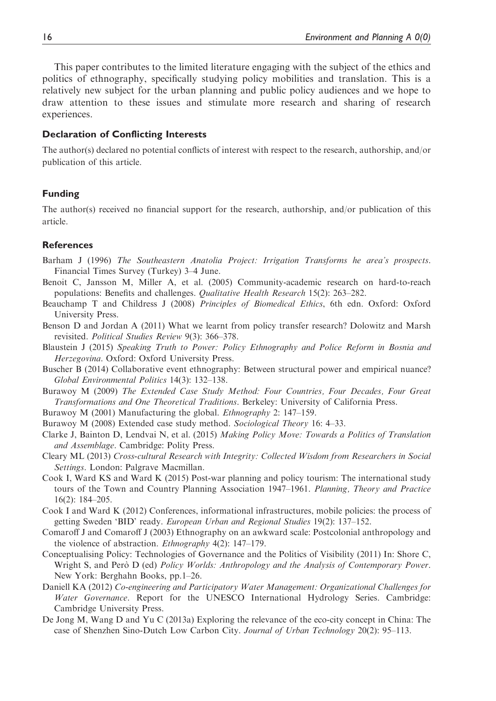This paper contributes to the limited literature engaging with the subject of the ethics and politics of ethnography, specifically studying policy mobilities and translation. This is a relatively new subject for the urban planning and public policy audiences and we hope to draw attention to these issues and stimulate more research and sharing of research experiences.

#### Declaration of Conflicting Interests

The author(s) declared no potential conflicts of interest with respect to the research, authorship, and/or publication of this article.

#### Funding

The author(s) received no financial support for the research, authorship, and/or publication of this article.

#### **References**

- Barham J (1996) The Southeastern Anatolia Project: Irrigation Transforms he area's prospects. Financial Times Survey (Turkey) 3–4 June.
- Benoit C, Jansson M, Miller A, et al. (2005) Community-academic research on hard-to-reach populations: Benefits and challenges. Qualitative Health Research 15(2): 263–282.
- Beauchamp T and Childress J (2008) Principles of Biomedical Ethics, 6th edn. Oxford: Oxford University Press.
- Benson D and Jordan A (2011) What we learnt from policy transfer research? Dolowitz and Marsh revisited. Political Studies Review 9(3): 366–378.
- Blaustein J (2015) Speaking Truth to Power: Policy Ethnography and Police Reform in Bosnia and Herzegovina. Oxford: Oxford University Press.
- Buscher B (2014) Collaborative event ethnography: Between structural power and empirical nuance? Global Environmental Politics 14(3): 132–138.
- Burawoy M (2009) The Extended Case Study Method: Four Countries, Four Decades, Four Great Transformations and One Theoretical Traditions. Berkeley: University of California Press.
- Burawoy M (2001) Manufacturing the global. *Ethnography* 2:  $147-159$ .
- Burawoy M (2008) Extended case study method. Sociological Theory 16: 4–33.
- Clarke J, Bainton D, Lendvai N, et al. (2015) Making Policy Move: Towards a Politics of Translation and Assemblage. Cambridge: Polity Press.
- Cleary ML (2013) Cross-cultural Research with Integrity: Collected Wisdom from Researchers in Social Settings. London: Palgrave Macmillan.
- Cook I, Ward KS and Ward K (2015) Post-war planning and policy tourism: The international study tours of the Town and Country Planning Association 1947–1961. Planning, Theory and Practice 16(2): 184–205.
- Cook I and Ward K (2012) Conferences, informational infrastructures, mobile policies: the process of getting Sweden 'BID' ready. European Urban and Regional Studies 19(2): 137–152.
- Comaroff J and Comaroff J (2003) Ethnography on an awkward scale: Postcolonial anthropology and the violence of abstraction. Ethnography 4(2): 147–179.
- Conceptualising Policy: Technologies of Governance and the Politics of Visibility (2011) In: Shore C, Wright S, and Pero` D (ed) *Policy Worlds: Anthropology and the Analysis of Contemporary Power.* New York: Berghahn Books, pp.1–26.
- Daniell KA (2012) Co-engineering and Participatory Water Management: Organizational Challenges for Water Governance. Report for the UNESCO International Hydrology Series. Cambridge: Cambridge University Press.
- De Jong M, Wang D and Yu C (2013a) Exploring the relevance of the eco-city concept in China: The case of Shenzhen Sino-Dutch Low Carbon City. Journal of Urban Technology 20(2): 95–113.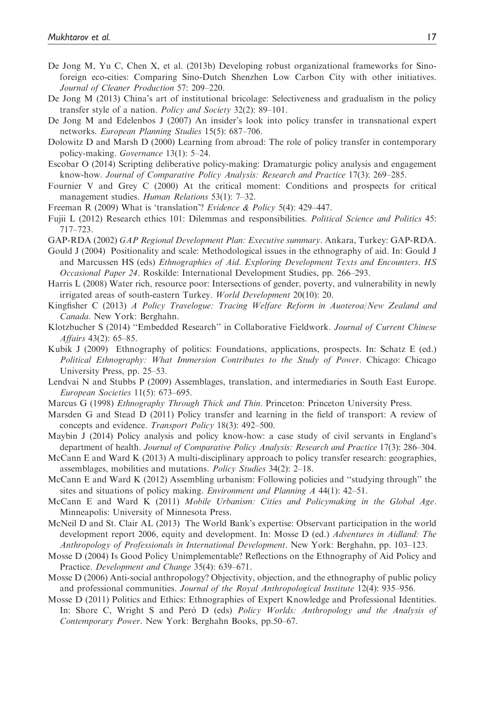- De Jong M, Yu C, Chen X, et al. (2013b) Developing robust organizational frameworks for Sinoforeign eco-cities: Comparing Sino-Dutch Shenzhen Low Carbon City with other initiatives. Journal of Cleaner Production 57: 209–220.
- De Jong M (2013) China's art of institutional bricolage: Selectiveness and gradualism in the policy transfer style of a nation. Policy and Society 32(2): 89–101.
- De Jong M and Edelenbos J (2007) An insider's look into policy transfer in transnational expert networks. European Planning Studies 15(5): 687–706.
- Dolowitz D and Marsh D (2000) Learning from abroad: The role of policy transfer in contemporary policy-making. Governance 13(1): 5–24.
- Escobar O (2014) Scripting deliberative policy-making: Dramaturgic policy analysis and engagement know-how. Journal of Comparative Policy Analysis: Research and Practice 17(3): 269–285.
- Fournier V and Grey C (2000) At the critical moment: Conditions and prospects for critical management studies. Human Relations 53(1): 7–32.
- Freeman R (2009) What is 'translation'? Evidence & Policy 5(4): 429–447.
- Fujii L (2012) Research ethics 101: Dilemmas and responsibilities. Political Science and Politics 45: 717–723.
- GAP-RDA (2002) GAP Regional Development Plan: Executive summary. Ankara, Turkey: GAP-RDA.
- Gould J (2004) Positionality and scale: Methodological issues in the ethnography of aid. In: Gould J and Marcussen HS (eds) Ethnographies of Aid. Exploring Development Texts and Encounters. HS Occasional Paper 24. Roskilde: International Development Studies, pp. 266–293.
- Harris L (2008) Water rich, resource poor: Intersections of gender, poverty, and vulnerability in newly irrigated areas of south-eastern Turkey. World Development 20(10): 20.
- Kingfisher C (2013) A Policy Travelogue: Tracing Welfare Reform in Auoteroa/New Zealand and Canada. New York: Berghahn.
- Klotzbucher S (2014) ''Embedded Research'' in Collaborative Fieldwork. Journal of Current Chinese Affairs 43(2): 65–85.
- Kubik J (2009) Ethnography of politics: Foundations, applications, prospects. In: Schatz E (ed.) Political Ethnography: What Immersion Contributes to the Study of Power. Chicago: Chicago University Press, pp. 25–53.
- Lendvai N and Stubbs P (2009) Assemblages, translation, and intermediaries in South East Europe. European Societies 11(5): 673–695.
- Marcus G (1998) Ethnography Through Thick and Thin. Princeton: Princeton University Press.
- Marsden G and Stead D (2011) Policy transfer and learning in the field of transport: A review of concepts and evidence. Transport Policy 18(3): 492–500.
- Maybin J (2014) Policy analysis and policy know-how: a case study of civil servants in England's department of health. Journal of Comparative Policy Analysis: Research and Practice 17(3): 286–304.
- McCann E and Ward K (2013) A multi-disciplinary approach to policy transfer research: geographies, assemblages, mobilities and mutations. Policy Studies 34(2): 2–18.
- McCann E and Ward K (2012) Assembling urbanism: Following policies and ''studying through'' the sites and situations of policy making. Environment and Planning A 44(1): 42–51.
- McCann E and Ward K (2011) Mobile Urbanism: Cities and Policymaking in the Global Age. Minneapolis: University of Minnesota Press.
- McNeil D and St. Clair AL (2013) The World Bank's expertise: Observant participation in the world development report 2006, equity and development. In: Mosse D (ed.) Adventures in Aidland: The Anthropology of Professionals in International Development. New York: Berghahn, pp. 103–123.
- Mosse D (2004) Is Good Policy Unimplementable? Reflections on the Ethnography of Aid Policy and Practice. Development and Change 35(4): 639–671.
- Mosse D (2006) Anti-social anthropology? Objectivity, objection, and the ethnography of public policy and professional communities. Journal of the Royal Anthropological Institute 12(4): 935–956.
- Mosse D (2011) Politics and Ethics: Ethnographies of Expert Knowledge and Professional Identities. In: Shore C, Wright S and Però D (eds) Policy Worlds: Anthropology and the Analysis of Contemporary Power. New York: Berghahn Books, pp.50–67.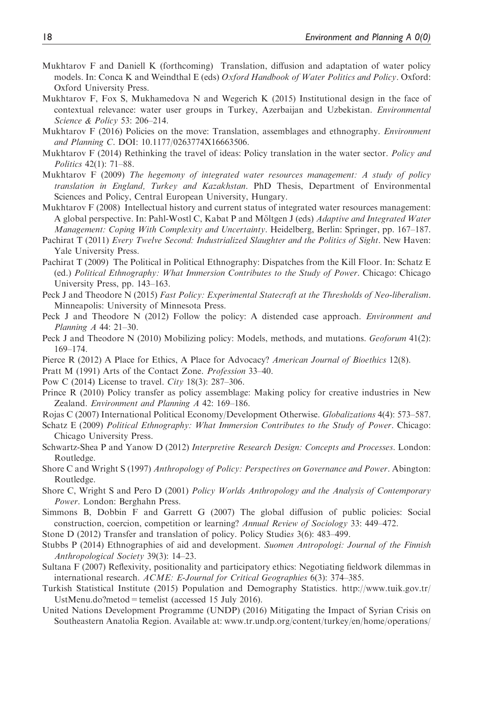- Mukhtarov F and Daniell K (forthcoming) Translation, diffusion and adaptation of water policy models. In: Conca K and Weindthal E (eds) Oxford Handbook of Water Politics and Policy. Oxford: Oxford University Press.
- Mukhtarov F, Fox S, Mukhamedova N and Wegerich K (2015) Institutional design in the face of contextual relevance: water user groups in Turkey, Azerbaijan and Uzbekistan. Environmental Science & Policy 53: 206–214.
- Mukhtarov F (2016) Policies on the move: Translation, assemblages and ethnography. *Environment* and Planning C. DOI: 10.1177/0263774X16663506.
- Mukhtarov F (2014) Rethinking the travel of ideas: Policy translation in the water sector. *Policy and* Politics 42(1): 71–88.
- Mukhtarov F (2009) The hegemony of integrated water resources management: A study of policy translation in England, Turkey and Kazakhstan. PhD Thesis, Department of Environmental Sciences and Policy, Central European University, Hungary.
- Mukhtarov F (2008) Intellectual history and current status of integrated water resources management: A global perspective. In: Pahl-Wostl C, Kabat P and Möltgen J (eds) Adaptive and Integrated Water Management: Coping With Complexity and Uncertainty. Heidelberg, Berlin: Springer, pp. 167–187.
- Pachirat T (2011) Every Twelve Second: Industrialized Slaughter and the Politics of Sight. New Haven: Yale University Press.
- Pachirat T (2009) The Political in Political Ethnography: Dispatches from the Kill Floor. In: Schatz E (ed.) Political Ethnography: What Immersion Contributes to the Study of Power. Chicago: Chicago University Press, pp. 143–163.
- Peck J and Theodore N (2015) Fast Policy: Experimental Statecraft at the Thresholds of Neo-liberalism. Minneapolis: University of Minnesota Press.
- Peck J and Theodore N (2012) Follow the policy: A distended case approach. Environment and Planning A 44: 21–30.
- Peck J and Theodore N (2010) Mobilizing policy: Models, methods, and mutations. Geoforum 41(2): 169–174.
- Pierce R (2012) A Place for Ethics, A Place for Advocacy? American Journal of Bioethics 12(8).
- Pratt M (1991) Arts of the Contact Zone. Profession 33–40.
- Pow C (2014) License to travel. City 18(3): 287–306.
- Prince R (2010) Policy transfer as policy assemblage: Making policy for creative industries in New Zealand. Environment and Planning A 42: 169–186.
- Rojas C (2007) International Political Economy/Development Otherwise. Globalizations 4(4): 573–587.
- Schatz E (2009) *Political Ethnography: What Immersion Contributes to the Study of Power*. Chicago: Chicago University Press.
- Schwartz-Shea P and Yanow D (2012) Interpretive Research Design: Concepts and Processes. London: Routledge.
- Shore C and Wright S (1997) Anthropology of Policy: Perspectives on Governance and Power. Abington: Routledge.
- Shore C, Wright S and Pero D (2001) Policy Worlds Anthropology and the Analysis of Contemporary Power. London: Berghahn Press.
- Simmons B, Dobbin F and Garrett G (2007) The global diffusion of public policies: Social construction, coercion, competition or learning? Annual Review of Sociology 33: 449–472.
- Stone D (2012) Transfer and translation of policy. Policy Studies 3(6): 483–499.
- Stubbs P (2014) Ethnographies of aid and development. Suomen Antropologi: Journal of the Finnish Anthropological Society 39(3): 14–23.
- Sultana F (2007) Reflexivity, positionality and participatory ethics: Negotiating fieldwork dilemmas in international research. ACME: E-Journal for Critical Geographies 6(3): 374–385.
- Turkish Statistical Institute (2015) Population and Demography Statistics. [http://www.tuik.gov.tr/](http://www.tuik.gov.tr/UstMenu.do?metod=temelist) [UstMenu.do?metod=temelist](http://www.tuik.gov.tr/UstMenu.do?metod=temelist) (accessed 15 July 2016).
- United Nations Development Programme (UNDP) (2016) Mitigating the Impact of Syrian Crisis on Southeastern Anatolia Region. Available at: [www.tr.undp.org/content/turkey/en/home/operations/](www.tr.undp.org/content/turkey/en/home/operations/projects/poverty_reduction/mitigating-the-impact-of-syrian-crisis-on-southeast-anatolia-reg.html)